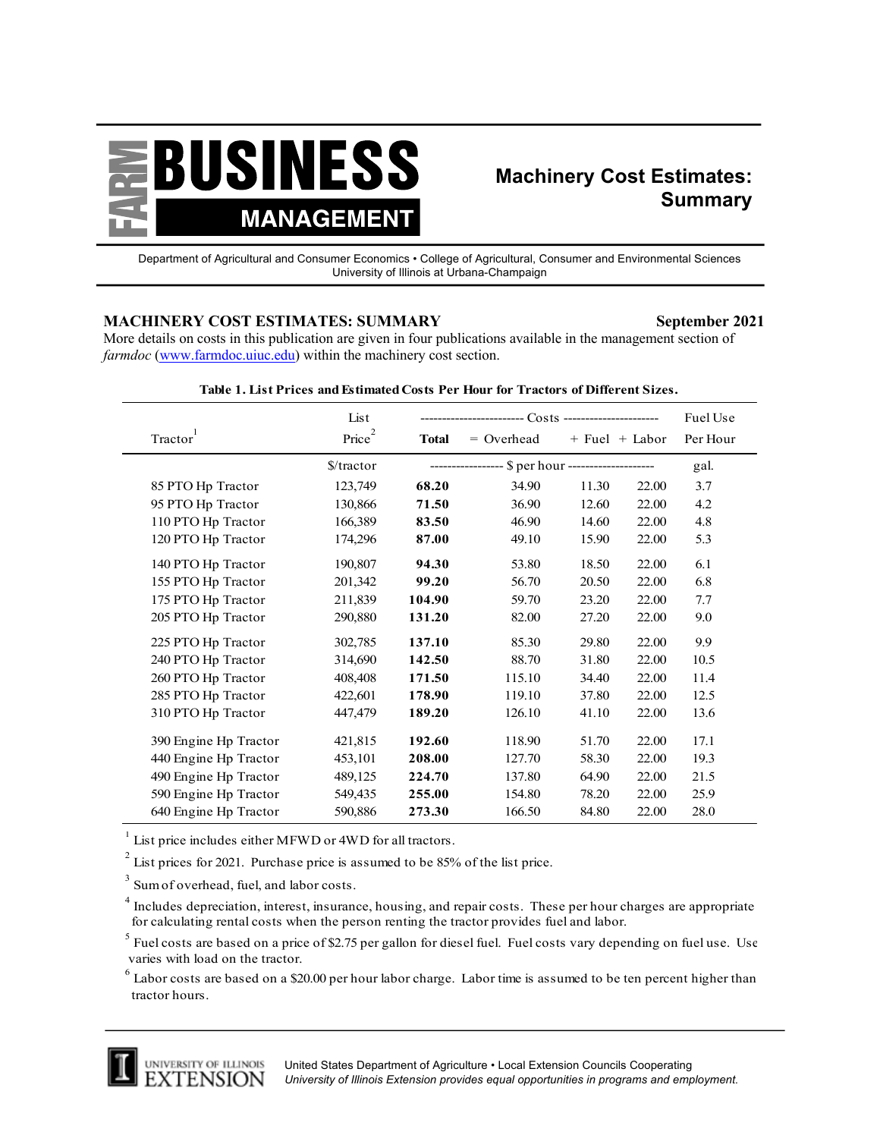

## **Machinery Cost Estimates: Summary**

Department of Agricultural and Consumer Economics • College of Agricultural, Consumer and Environmental Sciences University of Illinois at Urbana-Champaign

## **MACHINERY COST ESTIMATES: SUMMARY September 2021**

More details on costs in this publication are given in four publications available in the management section of *farmdoc* (www.farmdoc.uiuc.edu) within the machinery cost section.

|                       | List                 |              |                                                  |                    | Fuel Use |          |
|-----------------------|----------------------|--------------|--------------------------------------------------|--------------------|----------|----------|
| Tractor               | Price <sup>2</sup>   | <b>Total</b> | $=$ Overhead                                     | $+$ Fuel $+$ Labor |          | Per Hour |
|                       | $\frac{\sqrt{3}}{2}$ |              | ---------------- \$ per hour ------------------- |                    |          | gal.     |
| 85 PTO Hp Tractor     | 123,749              | 68.20        | 34.90                                            | 11.30              | 22.00    | 3.7      |
| 95 PTO Hp Tractor     | 130,866              | 71.50        | 36.90                                            | 12.60              | 22.00    | 4.2      |
| 110 PTO Hp Tractor    | 166,389              | 83.50        | 46.90                                            | 14.60              | 22.00    | 4.8      |
| 120 PTO Hp Tractor    | 174,296              | 87.00        | 49.10                                            | 15.90              | 22.00    | 5.3      |
| 140 PTO Hp Tractor    | 190,807              | 94.30        | 53.80                                            | 18.50              | 22.00    | 6.1      |
| 155 PTO Hp Tractor    | 201,342              | 99.20        | 56.70                                            | 20.50              | 22.00    | 6.8      |
| 175 PTO Hp Tractor    | 211,839              | 104.90       | 59.70                                            | 23.20              | 22.00    | 7.7      |
| 205 PTO Hp Tractor    | 290,880              | 131.20       | 82.00                                            | 27.20              | 22.00    | 9.0      |
| 225 PTO Hp Tractor    | 302,785              | 137.10       | 85.30                                            | 29.80              | 22.00    | 9.9      |
| 240 PTO Hp Tractor    | 314,690              | 142.50       | 88.70                                            | 31.80              | 22.00    | 10.5     |
| 260 PTO Hp Tractor    | 408,408              | 171.50       | 115.10                                           | 34.40              | 22.00    | 11.4     |
| 285 PTO Hp Tractor    | 422,601              | 178.90       | 119.10                                           | 37.80              | 22.00    | 12.5     |
| 310 PTO Hp Tractor    | 447,479              | 189.20       | 126.10                                           | 41.10              | 22.00    | 13.6     |
| 390 Engine Hp Tractor | 421,815              | 192.60       | 118.90                                           | 51.70              | 22.00    | 17.1     |
| 440 Engine Hp Tractor | 453,101              | 208.00       | 127.70                                           | 58.30              | 22.00    | 19.3     |
| 490 Engine Hp Tractor | 489,125              | 224.70       | 137.80                                           | 64.90              | 22.00    | 21.5     |
| 590 Engine Hp Tractor | 549,435              | 255.00       | 154.80                                           | 78.20              | 22.00    | 25.9     |
| 640 Engine Hp Tractor | 590,886              | 273.30       | 166.50                                           | 84.80              | 22.00    | 28.0     |

## **Table 1. List Prices and Estimated Costs Per Hour for Tractors of Different Sizes.**

<sup>1</sup> List price includes either MFWD or 4WD for all tractors.

 $2^{2}$  List prices for 2021. Purchase price is assumed to be 85% of the list price.

 $^3$  Sum of overhead, fuel, and labor costs.

 $^5$  Fuel costs are based on a price of \$2.75 per gallon for diesel fuel. Fuel costs vary depending on fuel use. Use varies with load on the tractor.

 $^6$  Labor costs are based on a \$20.00 per hour labor charge. Labor time is assumed to be ten percent higher than tractor hours.



<sup>&</sup>lt;sup>4</sup> Includes depreciation, interest, insurance, housing, and repair costs. These per hour charges are appropriate for calculating rental costs when the person renting the tractor provides fuel and labor.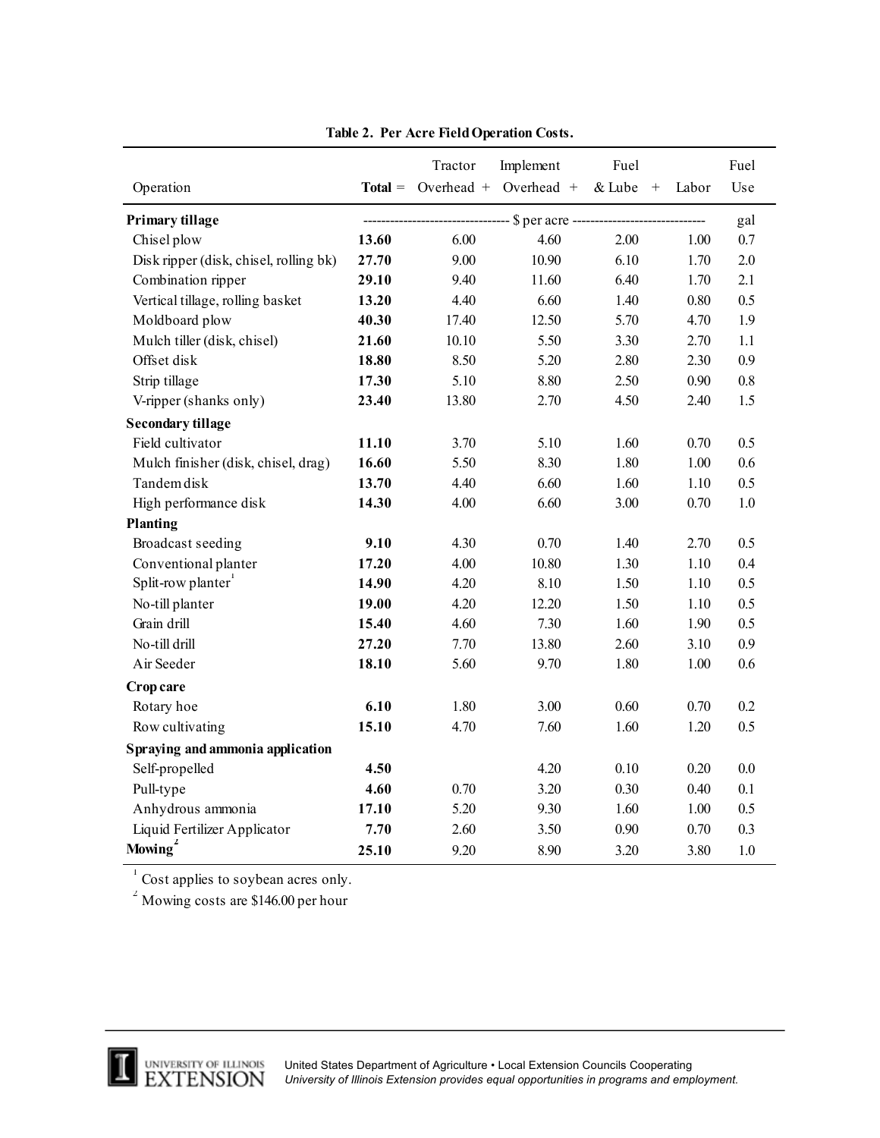|                                        |           | Tractor    | Implement        | Fuel          |          | Fuel    |
|----------------------------------------|-----------|------------|------------------|---------------|----------|---------|
| Operation                              | $Total =$ | Overhead + | Overhead +       | & Lube<br>$+$ | Labor    | Use     |
| Primary tillage                        |           |            | \$ per acre ---- |               |          | gal     |
| Chisel plow                            | 13.60     | 6.00       | 4.60             | 2.00          | 1.00     | 0.7     |
| Disk ripper (disk, chisel, rolling bk) | 27.70     | 9.00       | 10.90            | 6.10          | 1.70     | 2.0     |
| Combination ripper                     | 29.10     | 9.40       | 11.60            | 6.40          | 1.70     | 2.1     |
| Vertical tillage, rolling basket       | 13.20     | 4.40       | 6.60             | 1.40          | $0.80\,$ | 0.5     |
| Moldboard plow                         | 40.30     | 17.40      | 12.50            | 5.70          | 4.70     | 1.9     |
| Mulch tiller (disk, chisel)            | 21.60     | 10.10      | 5.50             | 3.30          | 2.70     | 1.1     |
| Offset disk                            | 18.80     | 8.50       | 5.20             | 2.80          | 2.30     | 0.9     |
| Strip tillage                          | 17.30     | 5.10       | 8.80             | 2.50          | 0.90     | $0.8\,$ |
| V-ripper (shanks only)                 | 23.40     | 13.80      | 2.70             | 4.50          | 2.40     | 1.5     |
| <b>Secondary tillage</b>               |           |            |                  |               |          |         |
| Field cultivator                       | 11.10     | 3.70       | 5.10             | 1.60          | 0.70     | 0.5     |
| Mulch finisher (disk, chisel, drag)    | 16.60     | 5.50       | 8.30             | 1.80          | 1.00     | 0.6     |
| Tandem disk                            | 13.70     | 4.40       | 6.60             | 1.60          | 1.10     | 0.5     |
| High performance disk                  | 14.30     | 4.00       | 6.60             | 3.00          | 0.70     | $1.0\,$ |
| Planting                               |           |            |                  |               |          |         |
| Broadcast seeding                      | 9.10      | 4.30       | 0.70             | 1.40          | 2.70     | 0.5     |
| Conventional planter                   | 17.20     | 4.00       | 10.80            | 1.30          | 1.10     | 0.4     |
| Split-row planter                      | 14.90     | 4.20       | 8.10             | 1.50          | 1.10     | 0.5     |
| No-till planter                        | 19.00     | 4.20       | 12.20            | 1.50          | 1.10     | 0.5     |
| Grain drill                            | 15.40     | 4.60       | 7.30             | 1.60          | 1.90     | 0.5     |
| No-till drill                          | 27.20     | 7.70       | 13.80            | 2.60          | 3.10     | 0.9     |
| Air Seeder                             | 18.10     | 5.60       | 9.70             | 1.80          | 1.00     | 0.6     |
| Crop care                              |           |            |                  |               |          |         |
| Rotary hoe                             | 6.10      | 1.80       | 3.00             | 0.60          | 0.70     | 0.2     |
| Row cultivating                        | 15.10     | 4.70       | 7.60             | 1.60          | 1.20     | 0.5     |
| Spraying and ammonia application       |           |            |                  |               |          |         |
| Self-propelled                         | 4.50      |            | 4.20             | 0.10          | 0.20     | 0.0     |
| Pull-type                              | 4.60      | 0.70       | 3.20             | 0.30          | 0.40     | 0.1     |
| Anhydrous ammonia                      | 17.10     | 5.20       | 9.30             | 1.60          | 1.00     | 0.5     |
| Liquid Fertilizer Applicator           | 7.70      | 2.60       | 3.50             | 0.90          | 0.70     | 0.3     |
| Mowing <sup>2</sup>                    | 25.10     | 9.20       | 8.90             | 3.20          | 3.80     | 1.0     |

**Table 2. Per Acre Field Operation Costs.**

 $\sigma^2$  Cost applies to soybean acres only.<br>
<sup>2</sup> Mowing costs are \$146.00 per hour

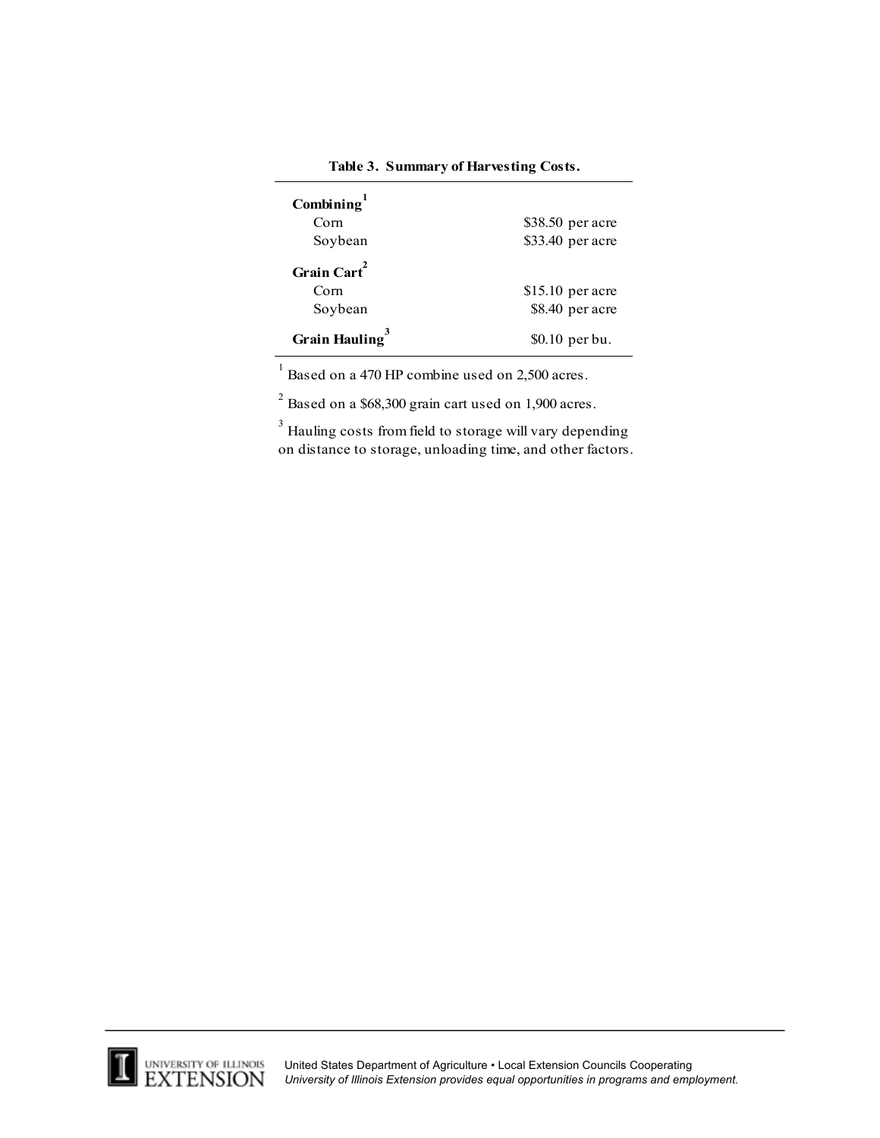| Combining $1$              |                   |
|----------------------------|-------------------|
| Com                        | $$38.50$ per acre |
| Soybean                    | \$33.40 per acre  |
| Grain Cart <sup>2</sup>    |                   |
| Corn                       | $$15.10$ per acre |
| Soybean                    | \$8.40 per acre   |
| Grain Hauling <sup>3</sup> | \$0.10 per bu.    |

**Table 3. Summary of Harvesting Costs.**

 $1$  Based on a 470 HP combine used on 2,500 acres.

 $2^{2}$  Based on a \$68,300 grain cart used on 1,900 acres.

 $3$  Hauling costs from field to storage will vary depending on distance to storage, unloading time, and other factors.